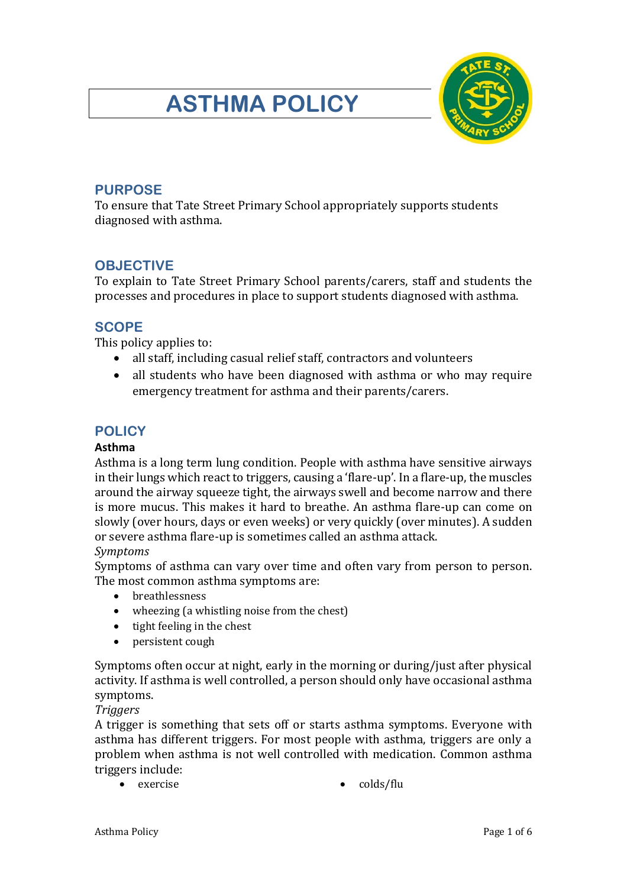# **ASTHMA POLICY**



# **PURPOSE**

To ensure that Tate Street Primary School appropriately supports students diagnosed with asthma.

## **OBJECTIVE**

To explain to Tate Street Primary School parents/carers, staff and students the processes and procedures in place to support students diagnosed with asthma.

# **SCOPE**

This policy applies to:

- all staff, including casual relief staff, contractors and volunteers
- all students who have been diagnosed with asthma or who may require emergency treatment for asthma and their parents/carers.

# **POLICY**

## **Asthma**

Asthma is a long term lung condition. People with asthma have sensitive airways in their lungs which react to triggers, causing a 'flare-up'. In a flare-up, the muscles around the airway squeeze tight, the airways swell and become narrow and there is more mucus. This makes it hard to breathe. An asthma flare-up can come on slowly (over hours, days or even weeks) or very quickly (over minutes). A sudden or severe asthma flare-up is sometimes called an asthma attack. *Symptoms*

Symptoms of asthma can vary over time and often vary from person to person. The most common asthma symptoms are:

- breathlessness
- wheezing (a whistling noise from the chest)
- tight feeling in the chest
- persistent cough

Symptoms often occur at night, early in the morning or during/just after physical activity. If asthma is well controlled, a person should only have occasional asthma symptoms.

### *Triggers*

A trigger is something that sets off or starts asthma symptoms. Everyone with asthma has different triggers. For most people with asthma, triggers are only a problem when asthma is not well controlled with medication. Common asthma triggers include:

- 
- exercise colds/flu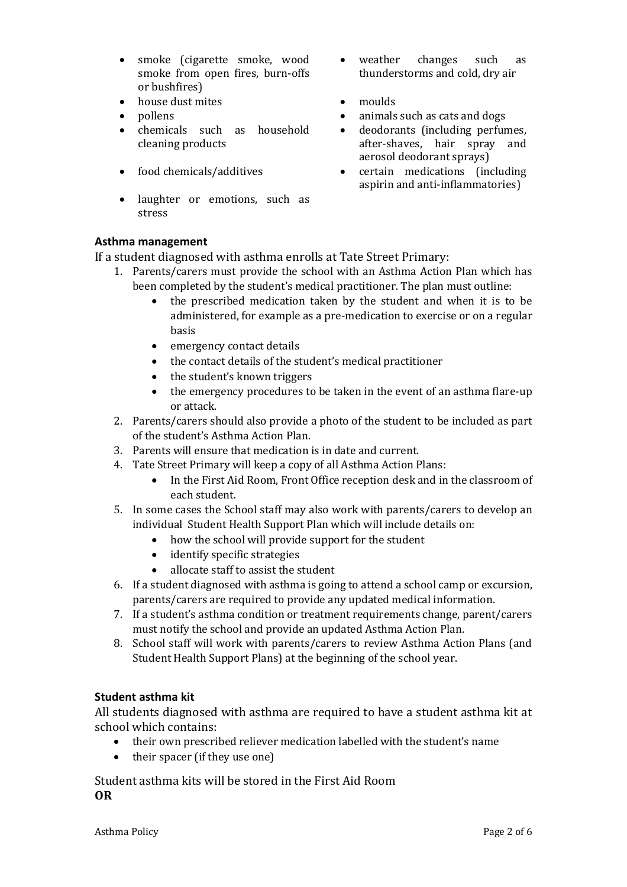- smoke (cigarette smoke, wood smoke from open fires, burn-offs or bushfires)
- house dust mites moulds
- 
- chemicals such as household cleaning products
- 
- laughter or emotions, such as stress
- weather changes such as thunderstorms and cold, dry air
- 
- pollens animals such as cats and dogs
	- deodorants (including perfumes, after-shaves, hair spray and aerosol deodorant sprays)
- food chemicals/additives certain medications (including aspirin and anti-inflammatories)

#### **Asthma management**

If a student diagnosed with asthma enrolls at Tate Street Primary:

- 1. Parents/carers must provide the school with an Asthma Action Plan which has been completed by the student's medical practitioner. The plan must outline:
	- the prescribed medication taken by the student and when it is to be administered, for example as a pre-medication to exercise or on a regular basis
	- emergency contact details
	- the contact details of the student's medical practitioner
	- the student's known triggers
	- the emergency procedures to be taken in the event of an asthma flare-up or attack.
- 2. Parents/carers should also provide a photo of the student to be included as part of the student's Asthma Action Plan.
- 3. Parents will ensure that medication is in date and current.
- 4. Tate Street Primary will keep a copy of all Asthma Action Plans:
	- In the First Aid Room, Front Office reception desk and in the classroom of each student.
- 5. In some cases the School staff may also work with parents/carers to develop an individual Student Health Support Plan which will include details on:
	- how the school will provide support for the student
	- identify specific strategies
	- allocate staff to assist the student
- 6. If a student diagnosed with asthma is going to attend a school camp or excursion, parents/carers are required to provide any updated medical information.
- 7. If a student's asthma condition or treatment requirements change, parent/carers must notify the school and provide an updated Asthma Action Plan.
- 8. School staff will work with parents/carers to review Asthma Action Plans (and Student Health Support Plans) at the beginning of the school year.

#### **Student asthma kit**

All students diagnosed with asthma are required to have a student asthma kit at school which contains:

- their own prescribed reliever medication labelled with the student's name
- their spacer (if they use one)

Student asthma kits will be stored in the First Aid Room **OR**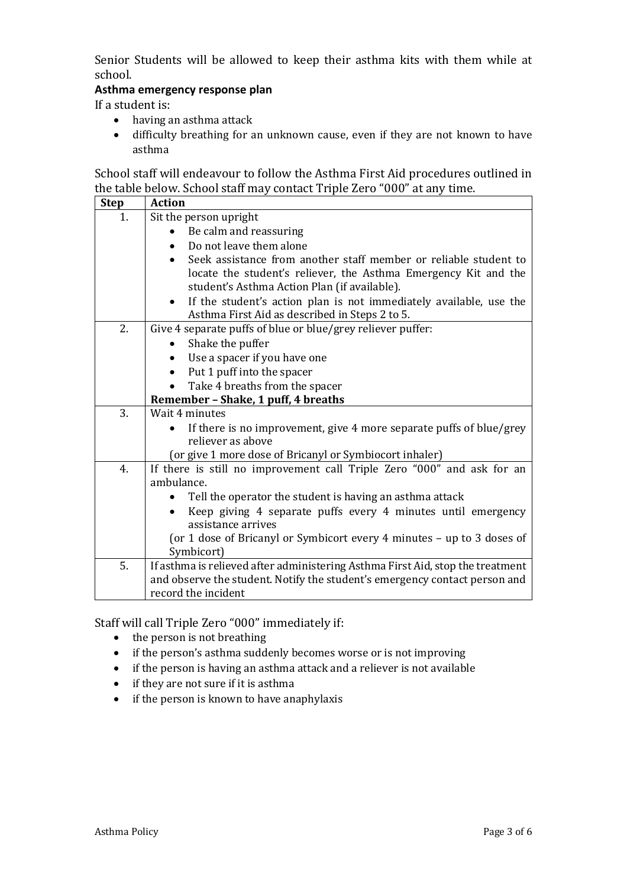Senior Students will be allowed to keep their asthma kits with them while at school.

#### **Asthma emergency response plan**

If a student is:

- having an asthma attack
- difficulty breathing for an unknown cause, even if they are not known to have asthma

School staff will endeavour to follow the Asthma First Aid procedures outlined in the table below. School staff may contact Triple Zero "000" at any time.

| <b>Step</b> | <b>Action</b>                                                                  |  |  |  |  |  |
|-------------|--------------------------------------------------------------------------------|--|--|--|--|--|
| 1.          | Sit the person upright                                                         |  |  |  |  |  |
|             | Be calm and reassuring                                                         |  |  |  |  |  |
|             | Do not leave them alone                                                        |  |  |  |  |  |
|             | Seek assistance from another staff member or reliable student to               |  |  |  |  |  |
|             | locate the student's reliever, the Asthma Emergency Kit and the                |  |  |  |  |  |
|             | student's Asthma Action Plan (if available).                                   |  |  |  |  |  |
|             | If the student's action plan is not immediately available, use the             |  |  |  |  |  |
|             | Asthma First Aid as described in Steps 2 to 5.                                 |  |  |  |  |  |
| 2.          | Give 4 separate puffs of blue or blue/grey reliever puffer:                    |  |  |  |  |  |
|             | Shake the puffer                                                               |  |  |  |  |  |
|             | Use a spacer if you have one                                                   |  |  |  |  |  |
|             | Put 1 puff into the spacer<br>$\bullet$                                        |  |  |  |  |  |
|             | Take 4 breaths from the spacer                                                 |  |  |  |  |  |
|             | Remember - Shake, 1 puff, 4 breaths                                            |  |  |  |  |  |
| 3.          | Wait 4 minutes                                                                 |  |  |  |  |  |
|             | If there is no improvement, give 4 more separate puffs of blue/grey            |  |  |  |  |  |
|             | reliever as above                                                              |  |  |  |  |  |
|             | (or give 1 more dose of Bricanyl or Symbiocort inhaler)                        |  |  |  |  |  |
| 4.          | If there is still no improvement call Triple Zero "000" and ask for an         |  |  |  |  |  |
|             | ambulance.                                                                     |  |  |  |  |  |
|             | Tell the operator the student is having an asthma attack                       |  |  |  |  |  |
|             | Keep giving 4 separate puffs every 4 minutes until emergency                   |  |  |  |  |  |
|             | assistance arrives                                                             |  |  |  |  |  |
|             | (or 1 dose of Bricanyl or Symbicort every 4 minutes - up to 3 doses of         |  |  |  |  |  |
|             | Symbicort)                                                                     |  |  |  |  |  |
| 5.          | If asthma is relieved after administering Asthma First Aid, stop the treatment |  |  |  |  |  |
|             | and observe the student. Notify the student's emergency contact person and     |  |  |  |  |  |
|             | record the incident                                                            |  |  |  |  |  |

Staff will call Triple Zero "000" immediately if:

- the person is not breathing
- if the person's asthma suddenly becomes worse or is not improving
- if the person is having an asthma attack and a reliever is not available
- if they are not sure if it is asthma
- if the person is known to have anaphylaxis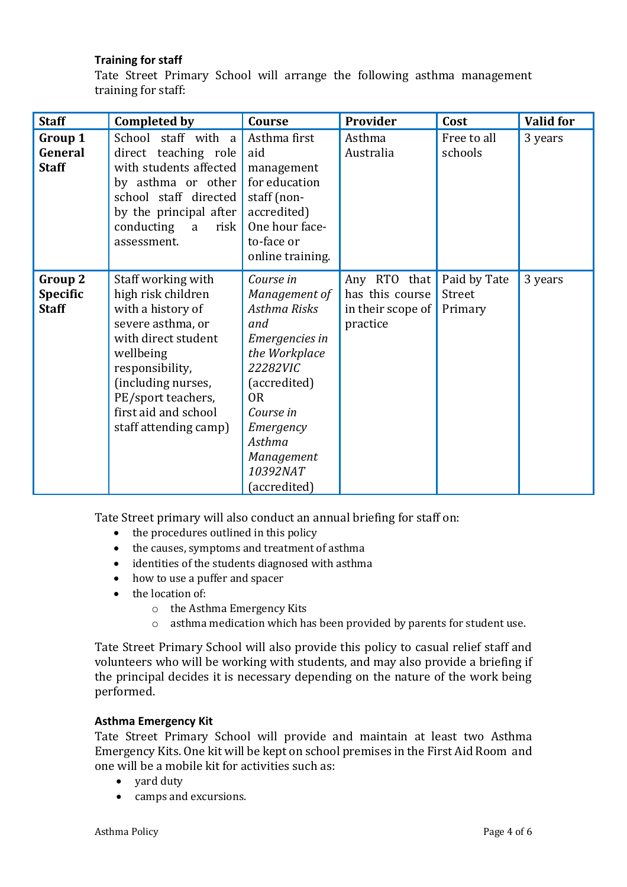#### **Training for staff**

Tate Street Primary School will arrange the following asthma management training for staff:

| <b>Staff</b>                               | <b>Completed by</b>                                                                                                                                                                                                                    | Course                                                                                                                                                                                                           | Provider                                                         | Cost                              | <b>Valid for</b> |
|--------------------------------------------|----------------------------------------------------------------------------------------------------------------------------------------------------------------------------------------------------------------------------------------|------------------------------------------------------------------------------------------------------------------------------------------------------------------------------------------------------------------|------------------------------------------------------------------|-----------------------------------|------------------|
| Group 1<br>General<br><b>Staff</b>         | School staff with a<br>direct teaching role<br>with students affected<br>by asthma or other<br>school staff directed<br>by the principal after<br>conducting<br>risk  <br>a<br>assessment.                                             | Asthma first<br>aid<br>management<br>for education<br>staff (non-<br>accredited)<br>One hour face-<br>to-face or<br>online training.                                                                             | Asthma<br>Australia                                              | Free to all<br>schools            | 3 years          |
| Group 2<br><b>Specific</b><br><b>Staff</b> | Staff working with<br>high risk children<br>with a history of<br>severe asthma, or<br>with direct student<br>wellbeing<br>responsibility,<br>(including nurses,<br>PE/sport teachers,<br>first aid and school<br>staff attending camp) | Course in<br>Management of<br>Asthma Risks<br>and<br>Emergencies in<br>the Workplace<br>22282VIC<br>(accredited)<br>0 <sub>R</sub><br>Course in<br>Emergency<br>Asthma<br>Management<br>10392NAT<br>(accredited) | Any RTO that<br>has this course<br>in their scope of<br>practice | Paid by Tate<br>Street<br>Primary | 3 years          |

Tate Street primary will also conduct an annual briefing for staff on:

- the procedures outlined in this policy
- the causes, symptoms and treatment of asthma
- identities of the students diagnosed with asthma
- how to use a puffer and spacer
- the location of:
	- o the Asthma Emergency Kits
	- o asthma medication which has been provided by parents for student use.

Tate Street Primary School will also provide this policy to casual relief staff and volunteers who will be working with students, and may also provide a briefing if the principal decides it is necessary depending on the nature of the work being performed.

#### **Asthma Emergency Kit**

Tate Street Primary School will provide and maintain at least two Asthma Emergency Kits. One kit will be kept on school premises in the First Aid Room and one will be a mobile kit for activities such as:

- yard duty
- camps and excursions.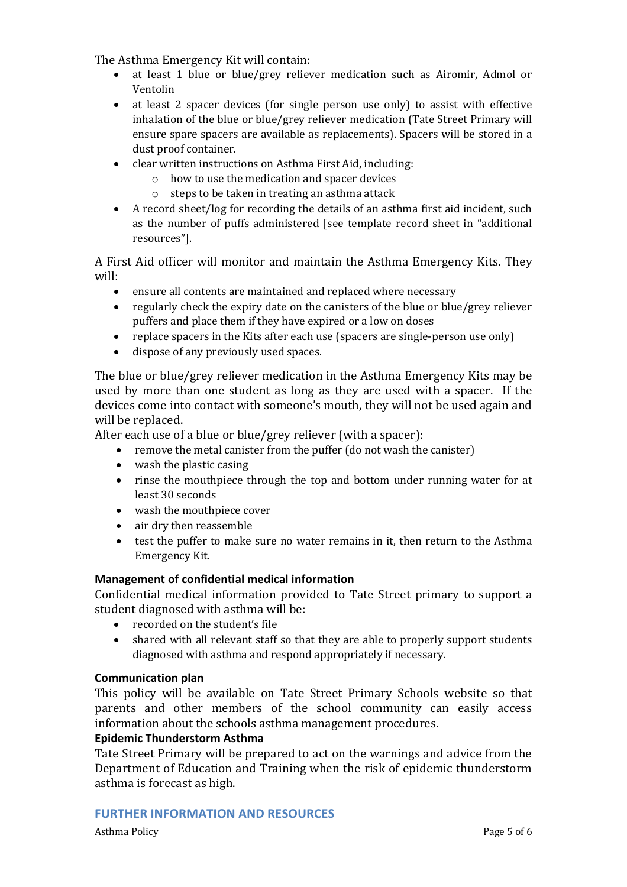The Asthma Emergency Kit will contain:

- at least 1 blue or blue/grey reliever medication such as Airomir, Admol or Ventolin
- at least 2 spacer devices (for single person use only) to assist with effective inhalation of the blue or blue/grey reliever medication (Tate Street Primary will ensure spare spacers are available as replacements). Spacers will be stored in a dust proof container.
- clear written instructions on Asthma First Aid, including:
	- o how to use the medication and spacer devices
		- o steps to be taken in treating an asthma attack
- A record sheet/log for recording the details of an asthma first aid incident, such as the number of puffs administered [see template record sheet in "additional resources"].

A First Aid officer will monitor and maintain the Asthma Emergency Kits. They will:

- ensure all contents are maintained and replaced where necessary
- regularly check the expiry date on the canisters of the blue or blue/grey reliever puffers and place them if they have expired or a low on doses
- replace spacers in the Kits after each use (spacers are single-person use only)
- dispose of any previously used spaces.

The blue or blue/grey reliever medication in the Asthma Emergency Kits may be used by more than one student as long as they are used with a spacer. If the devices come into contact with someone's mouth, they will not be used again and will be replaced.

After each use of a blue or blue/grey reliever (with a spacer):

- remove the metal canister from the puffer (do not wash the canister)
- wash the plastic casing
- rinse the mouthpiece through the top and bottom under running water for at least 30 seconds
- wash the mouthpiece cover
- air dry then reassemble
- test the puffer to make sure no water remains in it, then return to the Asthma Emergency Kit.

#### **Management of confidential medical information**

Confidential medical information provided to Tate Street primary to support a student diagnosed with asthma will be:

- recorded on the student's file
- shared with all relevant staff so that they are able to properly support students diagnosed with asthma and respond appropriately if necessary.

#### **Communication plan**

This policy will be available on Tate Street Primary Schools website so that parents and other members of the school community can easily access information about the schools asthma management procedures.

#### **Epidemic Thunderstorm Asthma**

Tate Street Primary will be prepared to act on the warnings and advice from the Department of Education and Training when the risk of epidemic thunderstorm asthma is forecast as high.

#### **FURTHER INFORMATION AND RESOURCES**